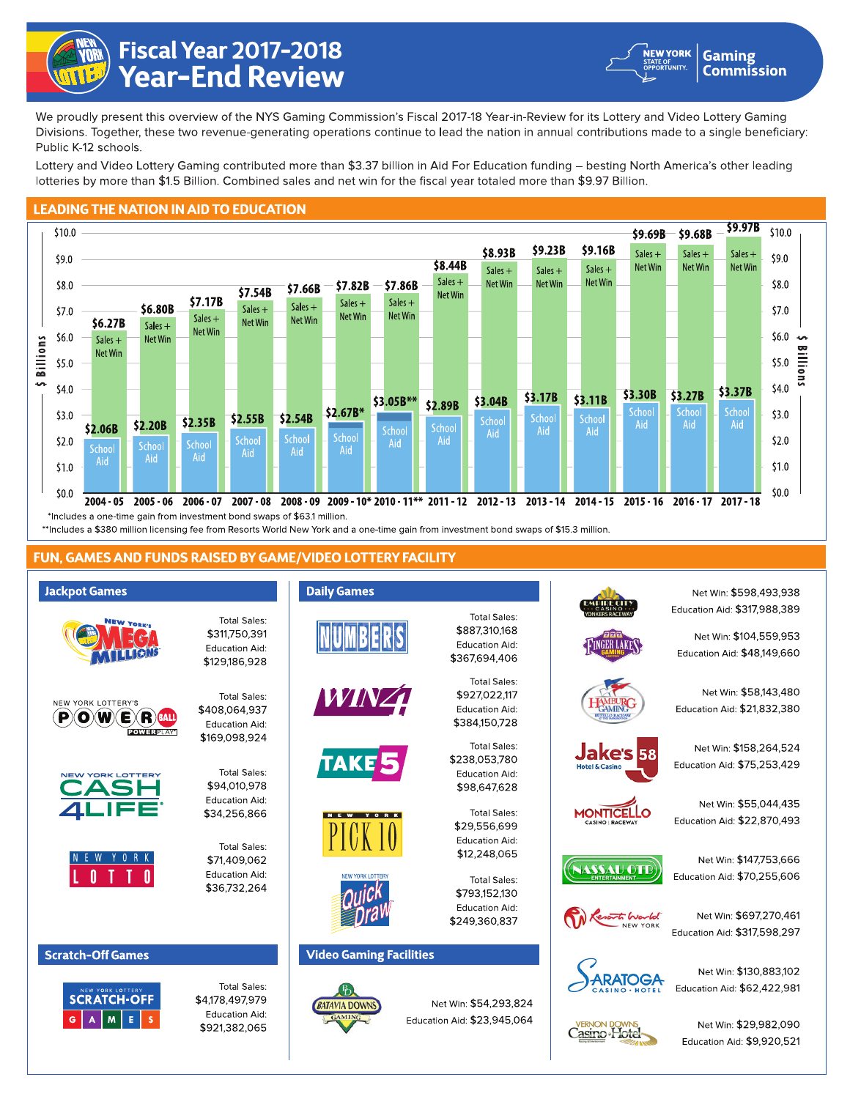

## Fiscal Year 2017-2018<br>Year-End Review



We proudly present this overview of the NYS Gaming Commission's Fiscal 2017-18 Year-in-Review for its Lottery and Video Lottery Gaming Divisions. Together, these two revenue-generating operations continue to lead the nation in annual contributions made to a single beneficiary: Public K-12 schools.

Lottery and Video Lottery Gaming contributed more than \$3.37 billion in Aid For Education funding - besting North America's other leading lotteries by more than \$1.5 Billion. Combined sales and net win for the fiscal year totaled more than \$9.97 Billion.

## **LEADING THE NATION IN AID TO EDUCATION**